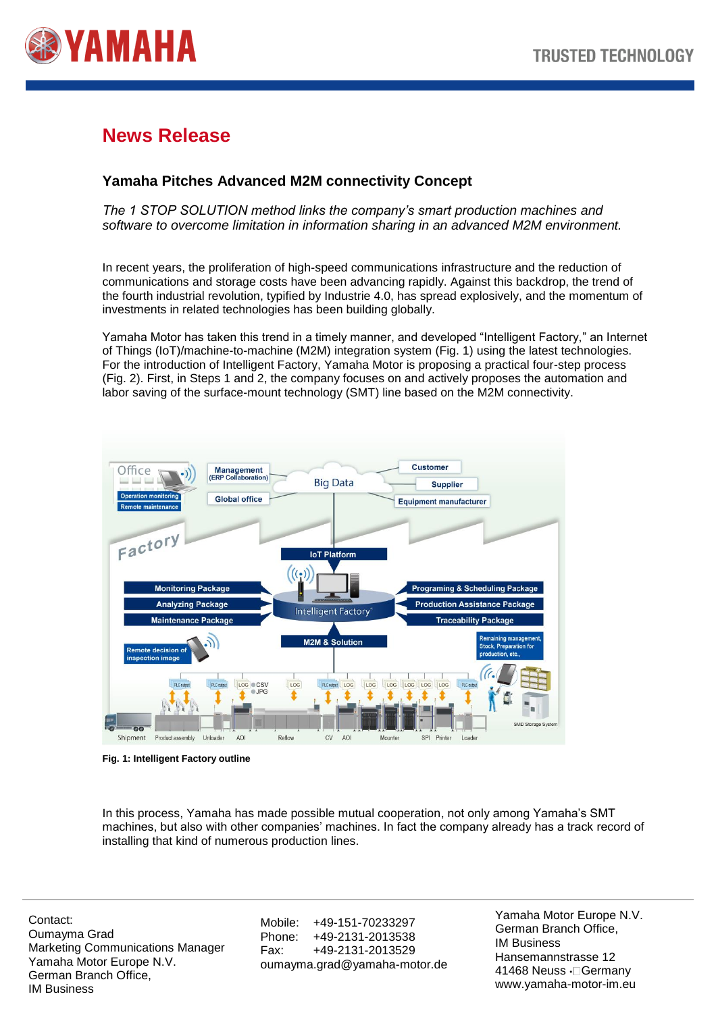

# **News Release**

## **Yamaha Pitches Advanced M2M connectivity Concept**

*The 1 STOP SOLUTION method links the company's smart production machines and software to overcome limitation in information sharing in an advanced M2M environment.*

In recent years, the proliferation of high-speed communications infrastructure and the reduction of communications and storage costs have been advancing rapidly. Against this backdrop, the trend of the fourth industrial revolution, typified by Industrie 4.0, has spread explosively, and the momentum of investments in related technologies has been building globally.

Yamaha Motor has taken this trend in a timely manner, and developed "Intelligent Factory," an Internet of Things (IoT)/machine-to-machine (M2M) integration system (Fig. 1) using the latest technologies. For the introduction of Intelligent Factory, Yamaha Motor is proposing a practical four-step process (Fig. 2). First, in Steps 1 and 2, the company focuses on and actively proposes the automation and labor saving of the surface-mount technology (SMT) line based on the M2M connectivity.



**Fig. 1: Intelligent Factory outline**

In this process, Yamaha has made possible mutual cooperation, not only among Yamaha's SMT machines, but also with other companies' machines. In fact the company already has a track record of installing that kind of numerous production lines.

Contact: Oumayma Grad Marketing Communications Manager Yamaha Motor Europe N.V. German Branch Office, IM Business

Mobile: +49-151-70233297 Phone: +49-2131-2013538 Fax: +49-2131-2013529 oumayma.grad@yamaha-motor.de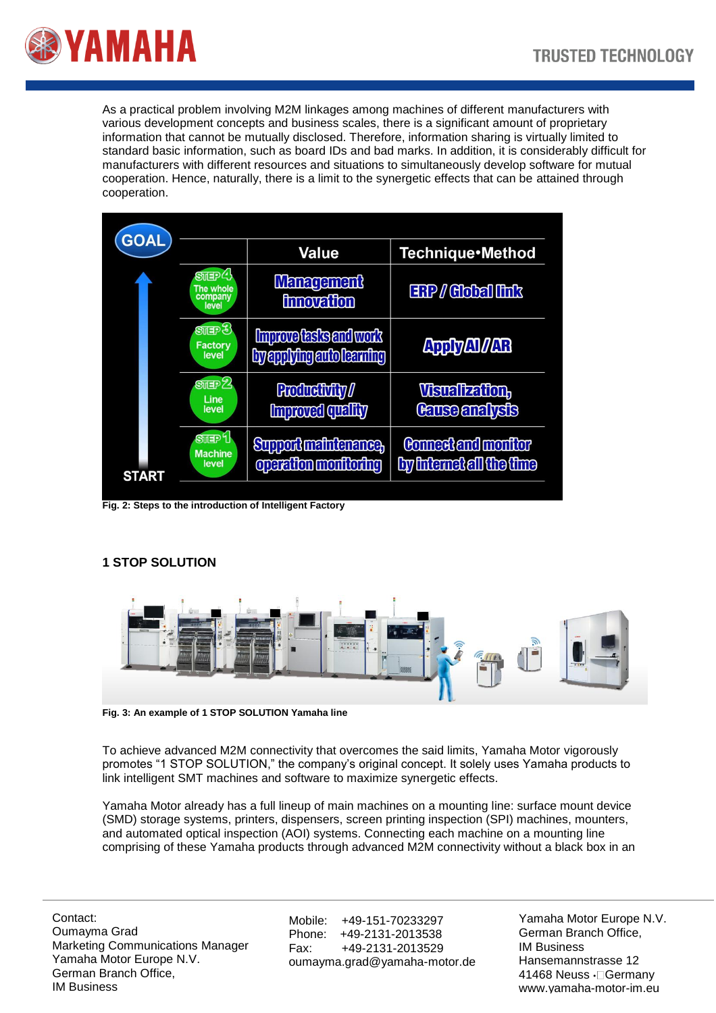

As a practical problem involving M2M linkages among machines of different manufacturers with various development concepts and business scales, there is a significant amount of proprietary information that cannot be mutually disclosed. Therefore, information sharing is virtually limited to standard basic information, such as board IDs and bad marks. In addition, it is considerably difficult for manufacturers with different resources and situations to simultaneously develop software for mutual cooperation. Hence, naturally, there is a limit to the synergetic effects that can be attained through cooperation.

| <b>GOAL</b>  |                                                          | Value                                                      | Technique•Method                                       |
|--------------|----------------------------------------------------------|------------------------------------------------------------|--------------------------------------------------------|
|              | $Sm$ EP $\ell$ !<br>The whole<br>company<br>level        | <b>Management</b><br><b>innovation</b>                     | <b>ERP / Global link</b>                               |
|              | $\mathbb{S}$ and $\mathbb{S}$<br><b>Factory</b><br>level | <b>Improve tasks and work</b><br>by applying auto learning | <b>Apply Al / AR</b>                                   |
| <b>START</b> | $S$ <sub>UII</sub> $2$<br>Line<br>level                  | <b>Productivity</b><br><b>Improved quality</b>             | <b>Visualization,</b><br><b>Cause analysis</b>         |
|              | STEP <sub>1</sub><br><b>Machine</b><br>level             | <b>Support maintenance,</b><br>operation monitoring        | <b>Connect and monitor</b><br>by internet all the time |

**Fig. 2: Steps to the introduction of Intelligent Factory**

### **1 STOP SOLUTION**



**Fig. 3: An example of 1 STOP SOLUTION Yamaha line**

To achieve advanced M2M connectivity that overcomes the said limits, Yamaha Motor vigorously promotes "1 STOP SOLUTION," the company's original concept. It solely uses Yamaha products to link intelligent SMT machines and software to maximize synergetic effects.

Yamaha Motor already has a full lineup of main machines on a mounting line: surface mount device (SMD) storage systems, printers, dispensers, screen printing inspection (SPI) machines, mounters, and automated optical inspection (AOI) systems. Connecting each machine on a mounting line comprising of these Yamaha products through advanced M2M connectivity without a black box in an

Contact: Oumayma Grad Marketing Communications Manager Yamaha Motor Europe N.V. German Branch Office, IM Business

Mobile: +49-151-70233297 Phone: +49-2131-2013538 Fax: +49-2131-2013529 oumayma.grad@yamaha-motor.de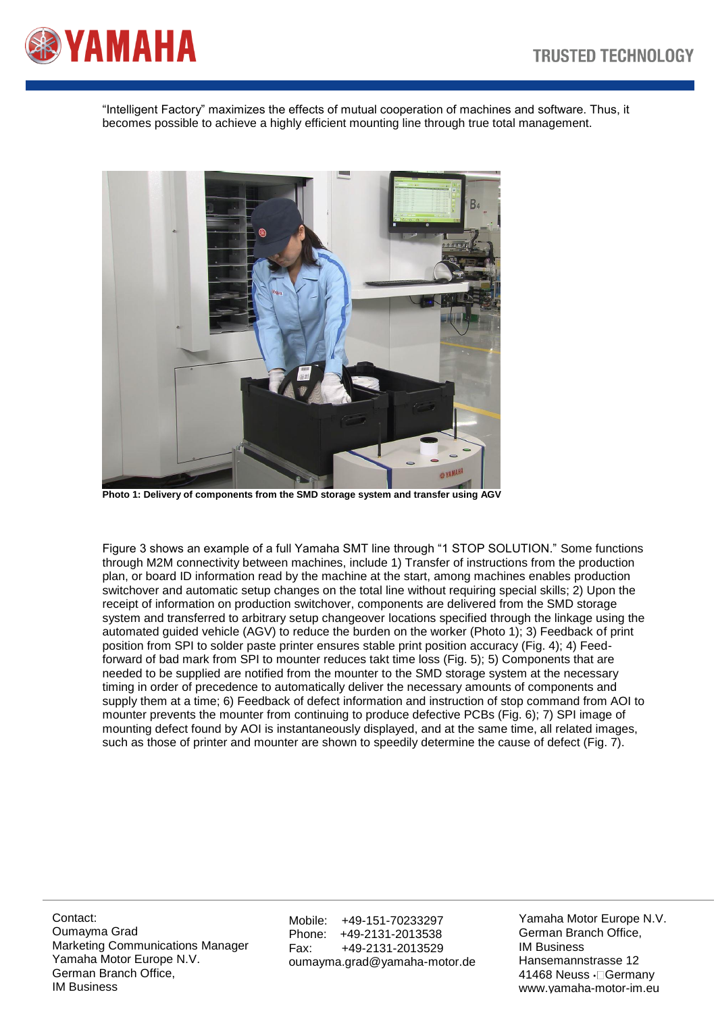

"Intelligent Factory" maximizes the effects of mutual cooperation of machines and software. Thus, it becomes possible to achieve a highly efficient mounting line through true total management.



**Photo 1: Delivery of components from the SMD storage system and transfer using AGV**

Figure 3 shows an example of a full Yamaha SMT line through "1 STOP SOLUTION." Some functions through M2M connectivity between machines, include 1) Transfer of instructions from the production plan, or board ID information read by the machine at the start, among machines enables production switchover and automatic setup changes on the total line without requiring special skills; 2) Upon the receipt of information on production switchover, components are delivered from the SMD storage system and transferred to arbitrary setup changeover locations specified through the linkage using the automated guided vehicle (AGV) to reduce the burden on the worker (Photo 1); 3) Feedback of print position from SPI to solder paste printer ensures stable print position accuracy (Fig. 4); 4) Feedforward of bad mark from SPI to mounter reduces takt time loss (Fig. 5); 5) Components that are needed to be supplied are notified from the mounter to the SMD storage system at the necessary timing in order of precedence to automatically deliver the necessary amounts of components and supply them at a time; 6) Feedback of defect information and instruction of stop command from AOI to mounter prevents the mounter from continuing to produce defective PCBs (Fig. 6); 7) SPI image of mounting defect found by AOI is instantaneously displayed, and at the same time, all related images, such as those of printer and mounter are shown to speedily determine the cause of defect (Fig. 7).

Contact: Oumayma Grad Marketing Communications Manager Yamaha Motor Europe N.V. German Branch Office, IM Business

Mobile: +49-151-70233297<br>Phone: +49-2131-2013538 +49-2131-2013538 Fax: +49-2131-2013529 oumayma.grad@yamaha-motor.de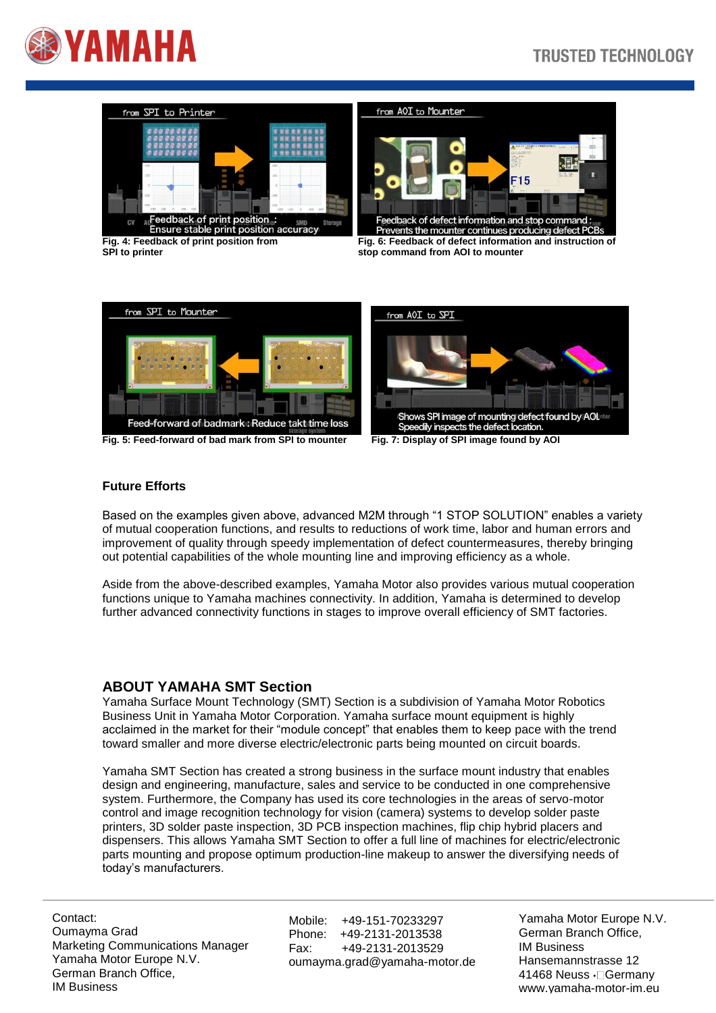





Feedback of defect information and stop command :....<br>Prevents the mounter continues producing defect PCBs **Fig. 4: Feedback of print position from Fig. 6: Feedback of defect information and instruction of SPI to printer stop command from AOI to mounter**



#### **Future Efforts**

Based on the examples given above, advanced M2M through "1 STOP SOLUTION" enables a variety of mutual cooperation functions, and results to reductions of work time, labor and human errors and improvement of quality through speedy implementation of defect countermeasures, thereby bringing out potential capabilities of the whole mounting line and improving efficiency as a whole.

Aside from the above-described examples, Yamaha Motor also provides various mutual cooperation functions unique to Yamaha machines connectivity. In addition, Yamaha is determined to develop further advanced connectivity functions in stages to improve overall efficiency of SMT factories.

### **ABOUT YAMAHA SMT Section**

Yamaha Surface Mount Technology (SMT) Section is a subdivision of Yamaha Motor Robotics Business Unit in Yamaha Motor Corporation. Yamaha surface mount equipment is highly acclaimed in the market for their "module concept" that enables them to keep pace with the trend toward smaller and more diverse electric/electronic parts being mounted on circuit boards.

Yamaha SMT Section has created a strong business in the surface mount industry that enables design and engineering, manufacture, sales and service to be conducted in one comprehensive system. Furthermore, the Company has used its core technologies in the areas of servo-motor control and image recognition technology for vision (camera) systems to develop solder paste printers, 3D solder paste inspection, 3D PCB inspection machines, flip chip hybrid placers and dispensers. This allows Yamaha SMT Section to offer a full line of machines for electric/electronic parts mounting and propose optimum production-line makeup to answer the diversifying needs of today's manufacturers.

Contact: Oumayma Grad Marketing Communications Manager Yamaha Motor Europe N.V. German Branch Office, IM Business

Mobile: +49-151-70233297 Phone: +49-2131-2013538 Fax: +49-2131-2013529 oumayma.grad@yamaha-motor.de